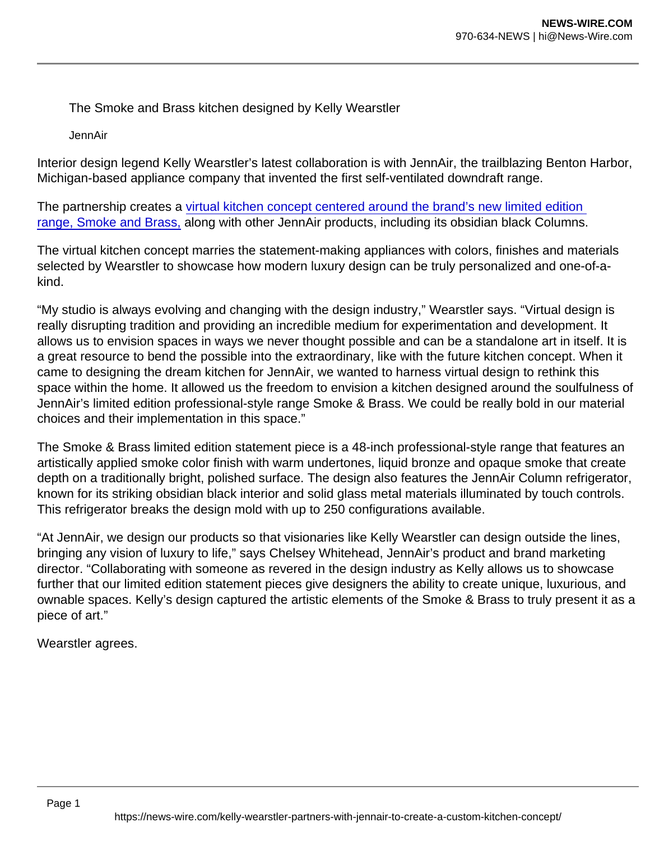The Smoke and Brass kitchen designed by Kelly Wearstler

JennAir

Interior design legend Kelly Wearstler's latest collaboration is with JennAir, the trailblazing Benton Harbor, Michigan-based appliance company that invented the first self-ventilated downdraft range.

The partnership creates a [virtual kitchen concept centered around the brand's new limited edition](https://www.jennair.com/kitchen-designs/kelly-wearstler/smoke-brass.html)  [range, Smoke and Brass,](https://www.jennair.com/kitchen-designs/kelly-wearstler/smoke-brass.html) along with other JennAir products, including its obsidian black Columns.

The virtual kitchen concept marries the statement-making appliances with colors, finishes and materials selected by Wearstler to showcase how modern luxury design can be truly personalized and one-of-akind.

"My studio is always evolving and changing with the design industry," Wearstler says. "Virtual design is really disrupting tradition and providing an incredible medium for experimentation and development. It allows us to envision spaces in ways we never thought possible and can be a standalone art in itself. It is a great resource to bend the possible into the extraordinary, like with the future kitchen concept. When it came to designing the dream kitchen for JennAir, we wanted to harness virtual design to rethink this space within the home. It allowed us the freedom to envision a kitchen designed around the soulfulness of JennAir's limited edition professional-style range Smoke & Brass. We could be really bold in our material choices and their implementation in this space."

The Smoke & Brass limited edition statement piece is a 48-inch professional-style range that features an artistically applied smoke color finish with warm undertones, liquid bronze and opaque smoke that create depth on a traditionally bright, polished surface. The design also features the JennAir Column refrigerator, known for its striking obsidian black interior and solid glass metal materials illuminated by touch controls. This refrigerator breaks the design mold with up to 250 configurations available.

"At JennAir, we design our products so that visionaries like Kelly Wearstler can design outside the lines, bringing any vision of luxury to life," says Chelsey Whitehead, JennAir's product and brand marketing director. "Collaborating with someone as revered in the design industry as Kelly allows us to showcase further that our limited edition statement pieces give designers the ability to create unique, luxurious, and ownable spaces. Kelly's design captured the artistic elements of the Smoke & Brass to truly present it as a piece of art."

Wearstler agrees.